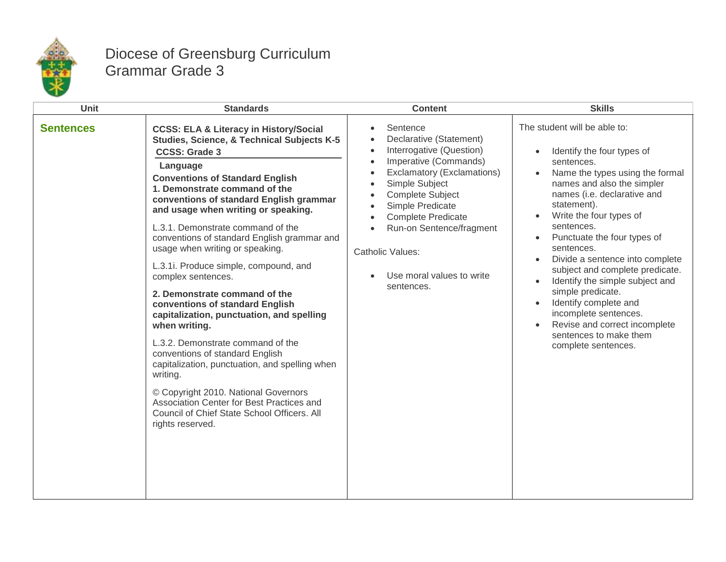

## Diocese of Greensburg Curriculum Grammar Grade 3

| <b>Unit</b>      | <b>Standards</b>                                                                                                                                                                                                                                                                                                                                                                                                                                                                                                                                                                                                                                                                                                                                                                                                                                                                                                       | <b>Content</b>                                                                                                                                                                                                                                                                                                                                                                                             | <b>Skills</b>                                                                                                                                                                                                                                                                                                                                                                                                                                                                                                                                                                                                                 |
|------------------|------------------------------------------------------------------------------------------------------------------------------------------------------------------------------------------------------------------------------------------------------------------------------------------------------------------------------------------------------------------------------------------------------------------------------------------------------------------------------------------------------------------------------------------------------------------------------------------------------------------------------------------------------------------------------------------------------------------------------------------------------------------------------------------------------------------------------------------------------------------------------------------------------------------------|------------------------------------------------------------------------------------------------------------------------------------------------------------------------------------------------------------------------------------------------------------------------------------------------------------------------------------------------------------------------------------------------------------|-------------------------------------------------------------------------------------------------------------------------------------------------------------------------------------------------------------------------------------------------------------------------------------------------------------------------------------------------------------------------------------------------------------------------------------------------------------------------------------------------------------------------------------------------------------------------------------------------------------------------------|
| <b>Sentences</b> | <b>CCSS: ELA &amp; Literacy in History/Social</b><br>Studies, Science, & Technical Subjects K-5<br><b>CCSS: Grade 3</b><br>Language<br><b>Conventions of Standard English</b><br>1. Demonstrate command of the<br>conventions of standard English grammar<br>and usage when writing or speaking.<br>L.3.1. Demonstrate command of the<br>conventions of standard English grammar and<br>usage when writing or speaking.<br>L.3.1i. Produce simple, compound, and<br>complex sentences.<br>2. Demonstrate command of the<br>conventions of standard English<br>capitalization, punctuation, and spelling<br>when writing.<br>L.3.2. Demonstrate command of the<br>conventions of standard English<br>capitalization, punctuation, and spelling when<br>writing.<br>© Copyright 2010. National Governors<br>Association Center for Best Practices and<br>Council of Chief State School Officers. All<br>rights reserved. | Sentence<br>Declarative (Statement)<br>$\bullet$<br>Interrogative (Question)<br>$\bullet$<br>Imperative (Commands)<br>$\bullet$<br>Exclamatory (Exclamations)<br>$\bullet$<br>Simple Subject<br><b>Complete Subject</b><br>$\bullet$<br>Simple Predicate<br>$\bullet$<br><b>Complete Predicate</b><br>Run-on Sentence/fragment<br>$\bullet$<br>Catholic Values:<br>Use moral values to write<br>sentences. | The student will be able to:<br>Identify the four types of<br>$\bullet$<br>sentences.<br>Name the types using the formal<br>$\bullet$<br>names and also the simpler<br>names (i.e. declarative and<br>statement).<br>Write the four types of<br>sentences.<br>Punctuate the four types of<br>$\bullet$<br>sentences.<br>Divide a sentence into complete<br>$\bullet$<br>subject and complete predicate.<br>Identify the simple subject and<br>$\bullet$<br>simple predicate.<br>Identify complete and<br>$\bullet$<br>incomplete sentences.<br>Revise and correct incomplete<br>sentences to make them<br>complete sentences. |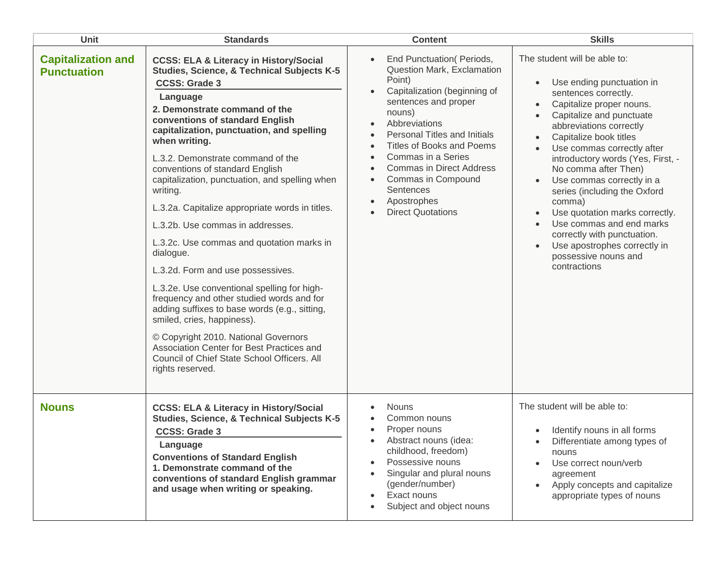| Unit                                            | <b>Standards</b>                                                                                                                                                                                                                                                                                                                                                                                                                                                                                                                                                                                                                                                                                                                                                                                                                                                                                                                                | <b>Content</b>                                                                                                                                                                                                                                                                                                                                                                                                     | <b>Skills</b>                                                                                                                                                                                                                                                                                                                                                                                                                                                                                                                                                   |
|-------------------------------------------------|-------------------------------------------------------------------------------------------------------------------------------------------------------------------------------------------------------------------------------------------------------------------------------------------------------------------------------------------------------------------------------------------------------------------------------------------------------------------------------------------------------------------------------------------------------------------------------------------------------------------------------------------------------------------------------------------------------------------------------------------------------------------------------------------------------------------------------------------------------------------------------------------------------------------------------------------------|--------------------------------------------------------------------------------------------------------------------------------------------------------------------------------------------------------------------------------------------------------------------------------------------------------------------------------------------------------------------------------------------------------------------|-----------------------------------------------------------------------------------------------------------------------------------------------------------------------------------------------------------------------------------------------------------------------------------------------------------------------------------------------------------------------------------------------------------------------------------------------------------------------------------------------------------------------------------------------------------------|
| <b>Capitalization and</b><br><b>Punctuation</b> | <b>CCSS: ELA &amp; Literacy in History/Social</b><br><b>Studies, Science, &amp; Technical Subjects K-5</b><br><b>CCSS: Grade 3</b><br>Language<br>2. Demonstrate command of the<br>conventions of standard English<br>capitalization, punctuation, and spelling<br>when writing.<br>L.3.2. Demonstrate command of the<br>conventions of standard English<br>capitalization, punctuation, and spelling when<br>writing.<br>L.3.2a. Capitalize appropriate words in titles.<br>L.3.2b. Use commas in addresses.<br>L.3.2c. Use commas and quotation marks in<br>dialogue.<br>L.3.2d. Form and use possessives.<br>L.3.2e. Use conventional spelling for high-<br>frequency and other studied words and for<br>adding suffixes to base words (e.g., sitting,<br>smiled, cries, happiness).<br>© Copyright 2010. National Governors<br>Association Center for Best Practices and<br>Council of Chief State School Officers. All<br>rights reserved. | End Punctuation(Periods,<br>Question Mark, Exclamation<br>Point)<br>Capitalization (beginning of<br>$\bullet$<br>sentences and proper<br>nouns)<br>Abbreviations<br>$\bullet$<br>Personal Titles and Initials<br><b>Titles of Books and Poems</b><br>Commas in a Series<br><b>Commas in Direct Address</b><br>Commas in Compound<br>$\bullet$<br>Sentences<br>Apostrophes<br>$\bullet$<br><b>Direct Quotations</b> | The student will be able to:<br>Use ending punctuation in<br>sentences correctly.<br>Capitalize proper nouns.<br>Capitalize and punctuate<br>abbreviations correctly<br>Capitalize book titles<br>Use commas correctly after<br>introductory words (Yes, First, -<br>No comma after Then)<br>Use commas correctly in a<br>series (including the Oxford<br>comma)<br>Use quotation marks correctly.<br>$\bullet$<br>Use commas and end marks<br>$\bullet$<br>correctly with punctuation.<br>Use apostrophes correctly in<br>possessive nouns and<br>contractions |
| <b>Nouns</b>                                    | <b>CCSS: ELA &amp; Literacy in History/Social</b><br>Studies, Science, & Technical Subjects K-5<br><b>CCSS: Grade 3</b><br>Language<br><b>Conventions of Standard English</b><br>1. Demonstrate command of the<br>conventions of standard English grammar<br>and usage when writing or speaking.                                                                                                                                                                                                                                                                                                                                                                                                                                                                                                                                                                                                                                                | <b>Nouns</b><br>Common nouns<br>Proper nouns<br>Abstract nouns (idea:<br>childhood, freedom)<br>Possessive nouns<br>Singular and plural nouns<br>(gender/number)<br>Exact nouns<br>Subject and object nouns                                                                                                                                                                                                        | The student will be able to:<br>Identify nouns in all forms<br>Differentiate among types of<br>nouns<br>Use correct noun/verb<br>agreement<br>Apply concepts and capitalize<br>appropriate types of nouns                                                                                                                                                                                                                                                                                                                                                       |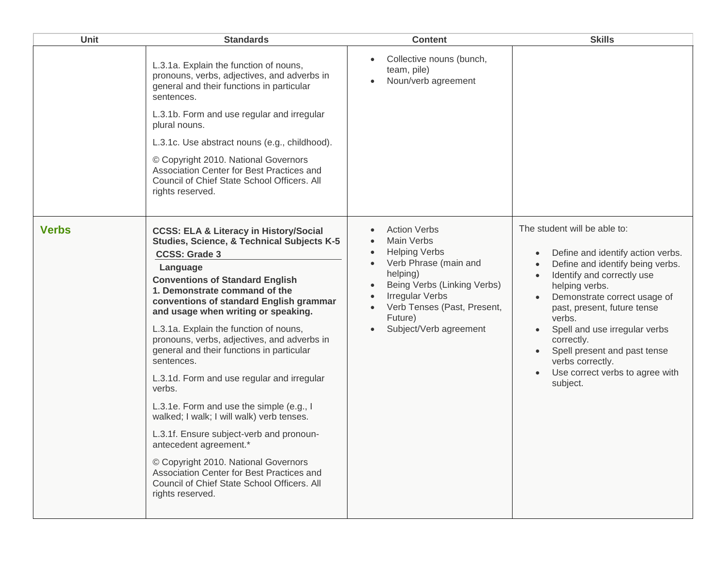| Unit         | <b>Standards</b>                                                                                                                                                                                                                                                                                                                                                                                                                                                                                                                                                                                                                                                                                                                                                                                                                    | <b>Content</b>                                                                                                                                                                                                                                               | <b>Skills</b>                                                                                                                                                                                                                                                                                                                                                                    |
|--------------|-------------------------------------------------------------------------------------------------------------------------------------------------------------------------------------------------------------------------------------------------------------------------------------------------------------------------------------------------------------------------------------------------------------------------------------------------------------------------------------------------------------------------------------------------------------------------------------------------------------------------------------------------------------------------------------------------------------------------------------------------------------------------------------------------------------------------------------|--------------------------------------------------------------------------------------------------------------------------------------------------------------------------------------------------------------------------------------------------------------|----------------------------------------------------------------------------------------------------------------------------------------------------------------------------------------------------------------------------------------------------------------------------------------------------------------------------------------------------------------------------------|
|              | L.3.1a. Explain the function of nouns,<br>pronouns, verbs, adjectives, and adverbs in<br>general and their functions in particular<br>sentences.<br>L.3.1b. Form and use regular and irregular<br>plural nouns.<br>L.3.1c. Use abstract nouns (e.g., childhood).<br>© Copyright 2010. National Governors<br>Association Center for Best Practices and<br>Council of Chief State School Officers. All<br>rights reserved.                                                                                                                                                                                                                                                                                                                                                                                                            | Collective nouns (bunch,<br>team, pile)<br>Noun/verb agreement                                                                                                                                                                                               |                                                                                                                                                                                                                                                                                                                                                                                  |
| <b>Verbs</b> | <b>CCSS: ELA &amp; Literacy in History/Social</b><br>Studies, Science, & Technical Subjects K-5<br><b>CCSS: Grade 3</b><br>Language<br><b>Conventions of Standard English</b><br>1. Demonstrate command of the<br>conventions of standard English grammar<br>and usage when writing or speaking.<br>L.3.1a. Explain the function of nouns,<br>pronouns, verbs, adjectives, and adverbs in<br>general and their functions in particular<br>sentences.<br>L.3.1d. Form and use regular and irregular<br>verbs.<br>L.3.1e. Form and use the simple (e.g., I<br>walked; I walk; I will walk) verb tenses.<br>L.3.1f. Ensure subject-verb and pronoun-<br>antecedent agreement.*<br>© Copyright 2010. National Governors<br>Association Center for Best Practices and<br>Council of Chief State School Officers. All<br>rights reserved. | <b>Action Verbs</b><br><b>Main Verbs</b><br><b>Helping Verbs</b><br>$\bullet$<br>Verb Phrase (main and<br>helping)<br>Being Verbs (Linking Verbs)<br>$\bullet$<br><b>Irregular Verbs</b><br>Verb Tenses (Past, Present,<br>Future)<br>Subject/Verb agreement | The student will be able to:<br>Define and identify action verbs.<br>Define and identify being verbs.<br>Identify and correctly use<br>helping verbs.<br>Demonstrate correct usage of<br>past, present, future tense<br>verbs.<br>Spell and use irregular verbs<br>correctly.<br>Spell present and past tense<br>verbs correctly.<br>Use correct verbs to agree with<br>subject. |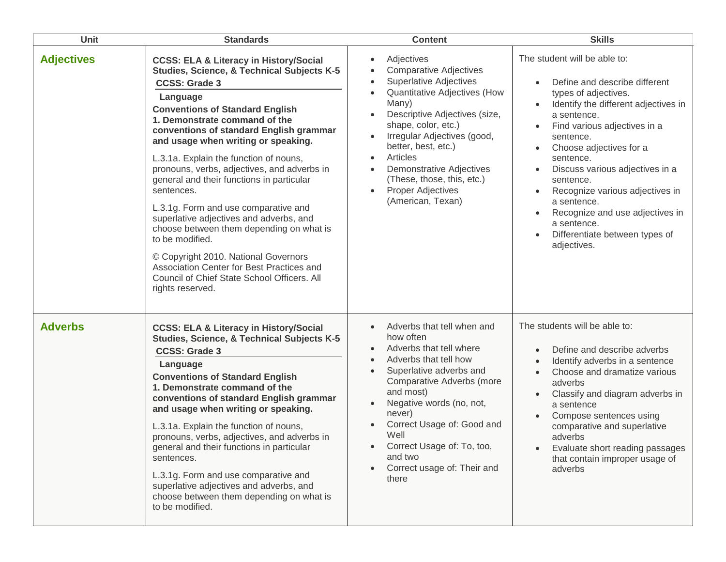| <b>Unit</b>       | <b>Standards</b>                                                                                                                                                                                                                                                                                                                                                                                                                                                                                                                                                                                                                                                                                                                                               | <b>Content</b>                                                                                                                                                                                                                                                                                                                                                                                                                     | <b>Skills</b>                                                                                                                                                                                                                                                                                                                                                                                                                          |
|-------------------|----------------------------------------------------------------------------------------------------------------------------------------------------------------------------------------------------------------------------------------------------------------------------------------------------------------------------------------------------------------------------------------------------------------------------------------------------------------------------------------------------------------------------------------------------------------------------------------------------------------------------------------------------------------------------------------------------------------------------------------------------------------|------------------------------------------------------------------------------------------------------------------------------------------------------------------------------------------------------------------------------------------------------------------------------------------------------------------------------------------------------------------------------------------------------------------------------------|----------------------------------------------------------------------------------------------------------------------------------------------------------------------------------------------------------------------------------------------------------------------------------------------------------------------------------------------------------------------------------------------------------------------------------------|
| <b>Adjectives</b> | <b>CCSS: ELA &amp; Literacy in History/Social</b><br>Studies, Science, & Technical Subjects K-5<br><b>CCSS: Grade 3</b><br>Language<br><b>Conventions of Standard English</b><br>1. Demonstrate command of the<br>conventions of standard English grammar<br>and usage when writing or speaking.<br>L.3.1a. Explain the function of nouns,<br>pronouns, verbs, adjectives, and adverbs in<br>general and their functions in particular<br>sentences.<br>L.3.1g. Form and use comparative and<br>superlative adjectives and adverbs, and<br>choose between them depending on what is<br>to be modified.<br>© Copyright 2010. National Governors<br>Association Center for Best Practices and<br>Council of Chief State School Officers. All<br>rights reserved. | Adjectives<br>$\bullet$<br><b>Comparative Adjectives</b><br><b>Superlative Adjectives</b><br>$\bullet$<br>Quantitative Adjectives (How<br>Many)<br>Descriptive Adjectives (size,<br>shape, color, etc.)<br>Irregular Adjectives (good,<br>$\bullet$<br>better, best, etc.)<br>Articles<br>$\bullet$<br><b>Demonstrative Adjectives</b><br>(These, those, this, etc.)<br><b>Proper Adjectives</b><br>$\bullet$<br>(American, Texan) | The student will be able to:<br>Define and describe different<br>types of adjectives.<br>Identify the different adjectives in<br>a sentence.<br>Find various adjectives in a<br>sentence.<br>Choose adjectives for a<br>sentence.<br>Discuss various adjectives in a<br>sentence.<br>Recognize various adjectives in<br>a sentence.<br>Recognize and use adjectives in<br>a sentence.<br>Differentiate between types of<br>adjectives. |
| <b>Adverbs</b>    | <b>CCSS: ELA &amp; Literacy in History/Social</b><br>Studies, Science, & Technical Subjects K-5<br><b>CCSS: Grade 3</b><br>Language<br><b>Conventions of Standard English</b><br>1. Demonstrate command of the<br>conventions of standard English grammar<br>and usage when writing or speaking.<br>L.3.1a. Explain the function of nouns,<br>pronouns, verbs, adjectives, and adverbs in<br>general and their functions in particular<br>sentences.<br>L.3.1g. Form and use comparative and<br>superlative adjectives and adverbs, and<br>choose between them depending on what is<br>to be modified.                                                                                                                                                         | Adverbs that tell when and<br>$\bullet$<br>how often<br>Adverbs that tell where<br>$\bullet$<br>Adverbs that tell how<br>$\bullet$<br>Superlative adverbs and<br>$\bullet$<br>Comparative Adverbs (more<br>and most)<br>Negative words (no, not,<br>$\bullet$<br>never)<br>Correct Usage of: Good and<br>Well<br>Correct Usage of: To, too,<br>and two<br>Correct usage of: Their and<br>there                                     | The students will be able to:<br>Define and describe adverbs<br>Identify adverbs in a sentence<br>Choose and dramatize various<br>$\bullet$<br>adverbs<br>Classify and diagram adverbs in<br>a sentence<br>Compose sentences using<br>comparative and superlative<br>adverbs<br>Evaluate short reading passages<br>that contain improper usage of<br>adverbs                                                                           |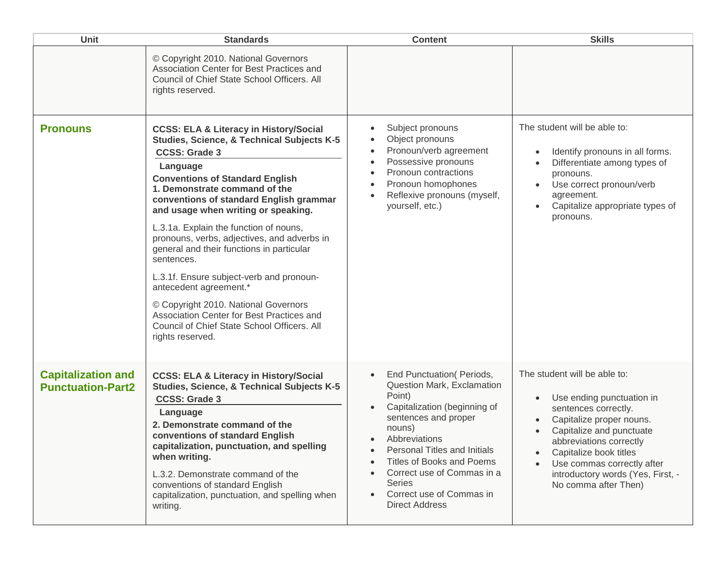| <b>Unit</b>                                           | <b>Standards</b>                                                                                                                                                                                                                                                                                                                                                                                                                                                                                                                                                                                                                                                                   | <b>Content</b>                                                                                                                                                                                                                                                                                                                                                                                                    | <b>Skills</b>                                                                                                                                                                                                                                                                             |
|-------------------------------------------------------|------------------------------------------------------------------------------------------------------------------------------------------------------------------------------------------------------------------------------------------------------------------------------------------------------------------------------------------------------------------------------------------------------------------------------------------------------------------------------------------------------------------------------------------------------------------------------------------------------------------------------------------------------------------------------------|-------------------------------------------------------------------------------------------------------------------------------------------------------------------------------------------------------------------------------------------------------------------------------------------------------------------------------------------------------------------------------------------------------------------|-------------------------------------------------------------------------------------------------------------------------------------------------------------------------------------------------------------------------------------------------------------------------------------------|
|                                                       | © Copyright 2010. National Governors<br>Association Center for Best Practices and<br>Council of Chief State School Officers, All<br>rights reserved.                                                                                                                                                                                                                                                                                                                                                                                                                                                                                                                               |                                                                                                                                                                                                                                                                                                                                                                                                                   |                                                                                                                                                                                                                                                                                           |
| <b>Pronouns</b>                                       | <b>CCSS: ELA &amp; Literacy in History/Social</b><br>Studies, Science, & Technical Subjects K-5<br><b>CCSS: Grade 3</b><br>Language<br><b>Conventions of Standard English</b><br>1. Demonstrate command of the<br>conventions of standard English grammar<br>and usage when writing or speaking.<br>L.3.1a. Explain the function of nouns,<br>pronouns, verbs, adjectives, and adverbs in<br>general and their functions in particular<br>sentences.<br>L.3.1f. Ensure subject-verb and pronoun-<br>antecedent agreement.*<br>© Copyright 2010. National Governors<br>Association Center for Best Practices and<br>Council of Chief State School Officers. All<br>rights reserved. | Subject pronouns<br>$\bullet$<br>Object pronouns<br>$\bullet$<br>Pronoun/verb agreement<br>$\bullet$<br>Possessive pronouns<br>$\bullet$<br>Pronoun contractions<br>$\bullet$<br>Pronoun homophones<br>$\bullet$<br>Reflexive pronouns (myself,<br>$\bullet$<br>yourself, etc.)                                                                                                                                   | The student will be able to:<br>Identify pronouns in all forms.<br>Differentiate among types of<br>pronouns.<br>Use correct pronoun/verb<br>agreement.<br>Capitalize appropriate types of<br>pronouns.                                                                                    |
| <b>Capitalization and</b><br><b>Punctuation-Part2</b> | <b>CCSS: ELA &amp; Literacy in History/Social</b><br><b>Studies, Science, &amp; Technical Subjects K-5</b><br><b>CCSS: Grade 3</b><br>Language<br>2. Demonstrate command of the<br>conventions of standard English<br>capitalization, punctuation, and spelling<br>when writing.<br>L.3.2. Demonstrate command of the<br>conventions of standard English<br>capitalization, punctuation, and spelling when<br>writing.                                                                                                                                                                                                                                                             | End Punctuation (Periods,<br>$\bullet$<br>Question Mark, Exclamation<br>Point)<br>Capitalization (beginning of<br>$\bullet$<br>sentences and proper<br>nouns)<br>Abbreviations<br>$\bullet$<br><b>Personal Titles and Initials</b><br>$\bullet$<br><b>Titles of Books and Poems</b><br>Correct use of Commas in a<br>$\bullet$<br><b>Series</b><br>Correct use of Commas in<br>$\bullet$<br><b>Direct Address</b> | The student will be able to:<br>Use ending punctuation in<br>sentences correctly.<br>Capitalize proper nouns.<br>Capitalize and punctuate<br>abbreviations correctly<br>Capitalize book titles<br>Use commas correctly after<br>introductory words (Yes, First, -<br>No comma after Then) |